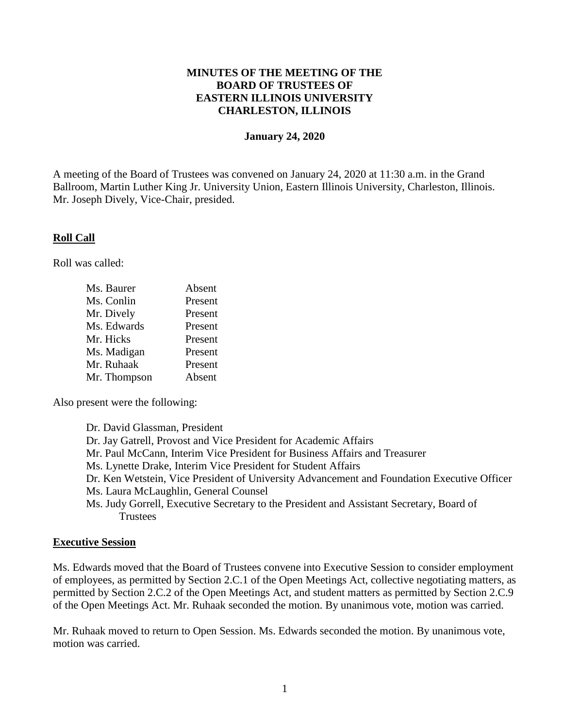## **MINUTES OF THE MEETING OF THE BOARD OF TRUSTEES OF EASTERN ILLINOIS UNIVERSITY CHARLESTON, ILLINOIS**

#### **January 24, 2020**

A meeting of the Board of Trustees was convened on January 24, 2020 at 11:30 a.m. in the Grand Ballroom, Martin Luther King Jr. University Union, Eastern Illinois University, Charleston, Illinois. Mr. Joseph Dively, Vice-Chair, presided.

### **Roll Call**

Roll was called:

| Ms. Baurer   | Absent  |
|--------------|---------|
| Ms. Conlin   | Present |
| Mr. Dively   | Present |
| Ms. Edwards  | Present |
| Mr. Hicks    | Present |
| Ms. Madigan  | Present |
| Mr. Ruhaak   | Present |
| Mr. Thompson | Absent  |

Also present were the following:

Dr. David Glassman, President Dr. Jay Gatrell, Provost and Vice President for Academic Affairs Mr. Paul McCann, Interim Vice President for Business Affairs and Treasurer Ms. Lynette Drake, Interim Vice President for Student Affairs Dr. Ken Wetstein, Vice President of University Advancement and Foundation Executive Officer Ms. Laura McLaughlin, General Counsel Ms. Judy Gorrell, Executive Secretary to the President and Assistant Secretary, Board of **Trustees** 

#### **Executive Session**

Ms. Edwards moved that the Board of Trustees convene into Executive Session to consider employment of employees, as permitted by Section 2.C.1 of the Open Meetings Act, collective negotiating matters, as permitted by Section 2.C.2 of the Open Meetings Act, and student matters as permitted by Section 2.C.9 of the Open Meetings Act. Mr. Ruhaak seconded the motion. By unanimous vote, motion was carried.

Mr. Ruhaak moved to return to Open Session. Ms. Edwards seconded the motion. By unanimous vote, motion was carried.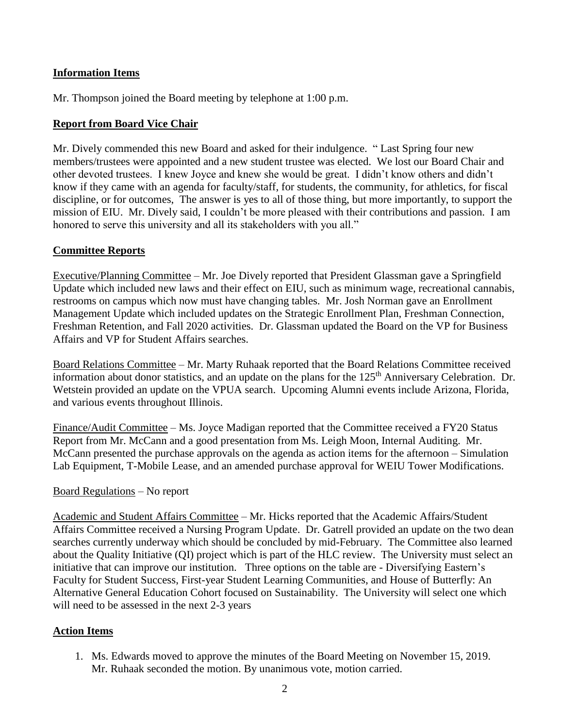# **Information Items**

Mr. Thompson joined the Board meeting by telephone at 1:00 p.m.

## **Report from Board Vice Chair**

Mr. Dively commended this new Board and asked for their indulgence. " Last Spring four new members/trustees were appointed and a new student trustee was elected. We lost our Board Chair and other devoted trustees. I knew Joyce and knew she would be great. I didn't know others and didn't know if they came with an agenda for faculty/staff, for students, the community, for athletics, for fiscal discipline, or for outcomes, The answer is yes to all of those thing, but more importantly, to support the mission of EIU. Mr. Dively said, I couldn't be more pleased with their contributions and passion. I am honored to serve this university and all its stakeholders with you all."

## **Committee Reports**

Executive/Planning Committee – Mr. Joe Dively reported that President Glassman gave a Springfield Update which included new laws and their effect on EIU, such as minimum wage, recreational cannabis, restrooms on campus which now must have changing tables. Mr. Josh Norman gave an Enrollment Management Update which included updates on the Strategic Enrollment Plan, Freshman Connection, Freshman Retention, and Fall 2020 activities. Dr. Glassman updated the Board on the VP for Business Affairs and VP for Student Affairs searches.

Board Relations Committee – Mr. Marty Ruhaak reported that the Board Relations Committee received information about donor statistics, and an update on the plans for the 125<sup>th</sup> Anniversary Celebration. Dr. Wetstein provided an update on the VPUA search. Upcoming Alumni events include Arizona, Florida, and various events throughout Illinois.

Finance/Audit Committee – Ms. Joyce Madigan reported that the Committee received a FY20 Status Report from Mr. McCann and a good presentation from Ms. Leigh Moon, Internal Auditing. Mr. McCann presented the purchase approvals on the agenda as action items for the afternoon – Simulation Lab Equipment, T-Mobile Lease, and an amended purchase approval for WEIU Tower Modifications.

### Board Regulations – No report

Academic and Student Affairs Committee – Mr. Hicks reported that the Academic Affairs/Student Affairs Committee received a Nursing Program Update. Dr. Gatrell provided an update on the two dean searches currently underway which should be concluded by mid-February. The Committee also learned about the Quality Initiative (QI) project which is part of the HLC review. The University must select an initiative that can improve our institution. Three options on the table are - Diversifying Eastern's Faculty for Student Success, First-year Student Learning Communities, and House of Butterfly: An Alternative General Education Cohort focused on Sustainability. The University will select one which will need to be assessed in the next 2-3 years

### **Action Items**

1. Ms. Edwards moved to approve the minutes of the Board Meeting on November 15, 2019. Mr. Ruhaak seconded the motion. By unanimous vote, motion carried.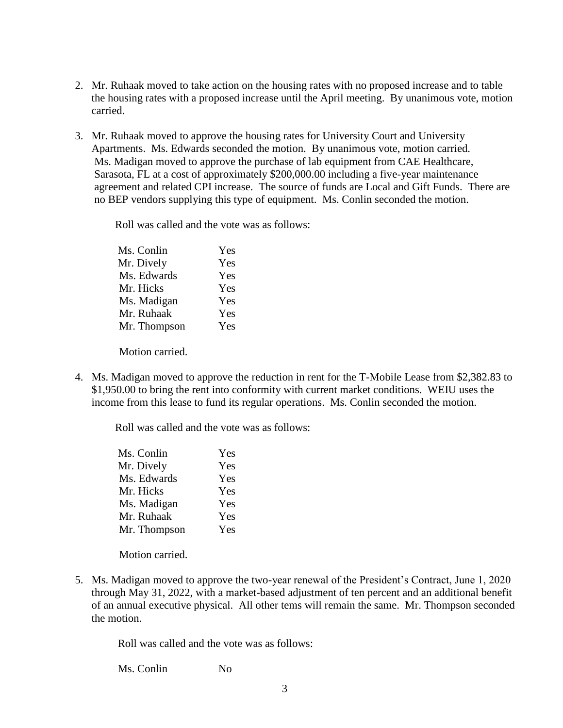- 2. Mr. Ruhaak moved to take action on the housing rates with no proposed increase and to table the housing rates with a proposed increase until the April meeting. By unanimous vote, motion carried.
- 3. Mr. Ruhaak moved to approve the housing rates for University Court and University Apartments. Ms. Edwards seconded the motion. By unanimous vote, motion carried. Ms. Madigan moved to approve the purchase of lab equipment from CAE Healthcare, Sarasota, FL at a cost of approximately \$200,000.00 including a five-year maintenance agreement and related CPI increase. The source of funds are Local and Gift Funds. There are no BEP vendors supplying this type of equipment. Ms. Conlin seconded the motion.

Roll was called and the vote was as follows:

| Ms. Conlin   | Yes |
|--------------|-----|
| Mr. Dively   | Yes |
| Ms. Edwards  | Yes |
| Mr. Hicks    | Yes |
| Ms. Madigan  | Yes |
| Mr. Ruhaak   | Yes |
| Mr. Thompson | Yes |
|              |     |

Motion carried.

4. Ms. Madigan moved to approve the reduction in rent for the T-Mobile Lease from \$2,382.83 to \$1,950.00 to bring the rent into conformity with current market conditions. WEIU uses the income from this lease to fund its regular operations. Ms. Conlin seconded the motion.

Roll was called and the vote was as follows:

| Ms. Conlin   | Yes |
|--------------|-----|
| Mr. Dively   | Yes |
| Ms. Edwards  | Yes |
| Mr. Hicks    | Yes |
| Ms. Madigan  | Yes |
| Mr. Ruhaak   | Yes |
| Mr. Thompson | Yes |
|              |     |

Motion carried.

5. Ms. Madigan moved to approve the two-year renewal of the President's Contract, June 1, 2020 through May 31, 2022, with a market-based adjustment of ten percent and an additional benefit of an annual executive physical. All other tems will remain the same. Mr. Thompson seconded the motion.

Roll was called and the vote was as follows:

Ms. Conlin No.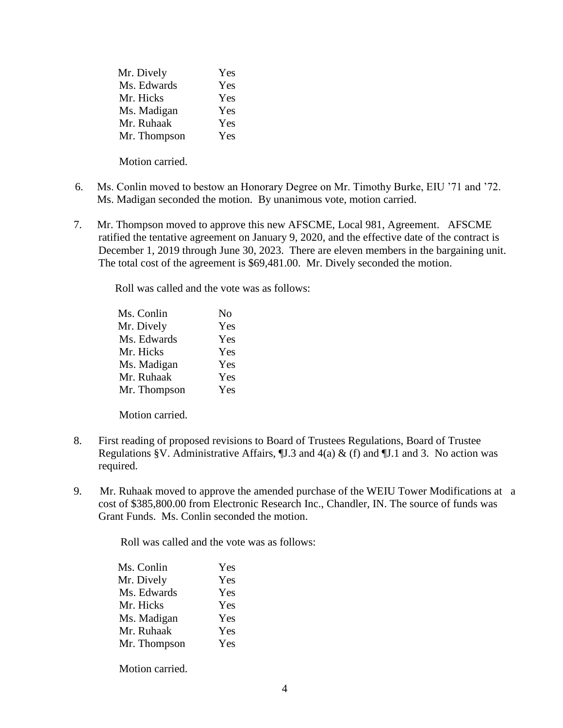| Yes |
|-----|
| Yes |
| Yes |
| Yes |
| Yes |
| Yes |
|     |

Motion carried.

- 6. Ms. Conlin moved to bestow an Honorary Degree on Mr. Timothy Burke, EIU '71 and '72. Ms. Madigan seconded the motion. By unanimous vote, motion carried.
- 7. Mr. Thompson moved to approve this new AFSCME, Local 981, Agreement. AFSCME ratified the tentative agreement on January 9, 2020, and the effective date of the contract is December 1, 2019 through June 30, 2023. There are eleven members in the bargaining unit. The total cost of the agreement is \$69,481.00. Mr. Dively seconded the motion.

Roll was called and the vote was as follows:

| Ms. Conlin   | No  |
|--------------|-----|
| Mr. Dively   | Yes |
| Ms. Edwards  | Yes |
| Mr. Hicks    | Yes |
| Ms. Madigan  | Yes |
| Mr. Ruhaak   | Yes |
| Mr. Thompson | Yes |

Motion carried.

- 8. First reading of proposed revisions to Board of Trustees Regulations, Board of Trustee Regulations §V. Administrative Affairs,  $\mathbb{I}$ . 3 and 4(a) & (f) and  $\mathbb{I}$ . 1 and 3. No action was required.
- 9. Mr. Ruhaak moved to approve the amended purchase of the WEIU Tower Modifications at a cost of \$385,800.00 from Electronic Research Inc., Chandler, IN. The source of funds was Grant Funds. Ms. Conlin seconded the motion.

Roll was called and the vote was as follows:

| Ms. Conlin   | Yes |
|--------------|-----|
| Mr. Dively   | Yes |
| Ms. Edwards  | Yes |
| Mr. Hicks    | Yes |
| Ms. Madigan  | Yes |
| Mr. Ruhaak   | Yes |
| Mr. Thompson | Yes |
|              |     |

Motion carried.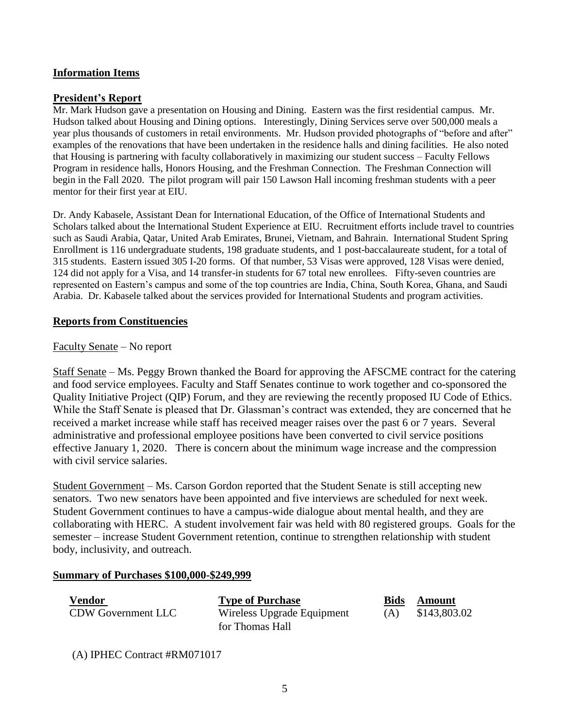## **Information Items**

#### **President's Report**

Mr. Mark Hudson gave a presentation on Housing and Dining. Eastern was the first residential campus. Mr. Hudson talked about Housing and Dining options. Interestingly, Dining Services serve over 500,000 meals a year plus thousands of customers in retail environments. Mr. Hudson provided photographs of "before and after" examples of the renovations that have been undertaken in the residence halls and dining facilities. He also noted that Housing is partnering with faculty collaboratively in maximizing our student success – Faculty Fellows Program in residence halls, Honors Housing, and the Freshman Connection. The Freshman Connection will begin in the Fall 2020. The pilot program will pair 150 Lawson Hall incoming freshman students with a peer mentor for their first year at EIU.

Dr. Andy Kabasele, Assistant Dean for International Education, of the Office of International Students and Scholars talked about the International Student Experience at EIU. Recruitment efforts include travel to countries such as Saudi Arabia, Qatar, United Arab Emirates, Brunei, Vietnam, and Bahrain. International Student Spring Enrollment is 116 undergraduate students, 198 graduate students, and 1 post-baccalaureate student, for a total of 315 students. Eastern issued 305 I-20 forms. Of that number, 53 Visas were approved, 128 Visas were denied, 124 did not apply for a Visa, and 14 transfer-in students for 67 total new enrollees. Fifty-seven countries are represented on Eastern's campus and some of the top countries are India, China, South Korea, Ghana, and Saudi Arabia. Dr. Kabasele talked about the services provided for International Students and program activities.

### **Reports from Constituencies**

#### Faculty Senate – No report

Staff Senate – Ms. Peggy Brown thanked the Board for approving the AFSCME contract for the catering and food service employees. Faculty and Staff Senates continue to work together and co-sponsored the Quality Initiative Project (QIP) Forum, and they are reviewing the recently proposed IU Code of Ethics. While the Staff Senate is pleased that Dr. Glassman's contract was extended, they are concerned that he received a market increase while staff has received meager raises over the past 6 or 7 years. Several administrative and professional employee positions have been converted to civil service positions effective January 1, 2020. There is concern about the minimum wage increase and the compression with civil service salaries.

Student Government – Ms. Carson Gordon reported that the Student Senate is still accepting new senators. Two new senators have been appointed and five interviews are scheduled for next week. Student Government continues to have a campus-wide dialogue about mental health, and they are collaborating with HERC. A student involvement fair was held with 80 registered groups. Goals for the semester – increase Student Government retention, continue to strengthen relationship with student body, inclusivity, and outreach.

#### **Summary of Purchases \$100,000-\$249,999**

| Vendor                    | <b>Type of Purchase</b>    | Bids | Amount       |
|---------------------------|----------------------------|------|--------------|
| <b>CDW Government LLC</b> | Wireless Upgrade Equipment | (A)  | \$143,803.02 |
|                           | for Thomas Hall            |      |              |

(A) IPHEC Contract #RM071017